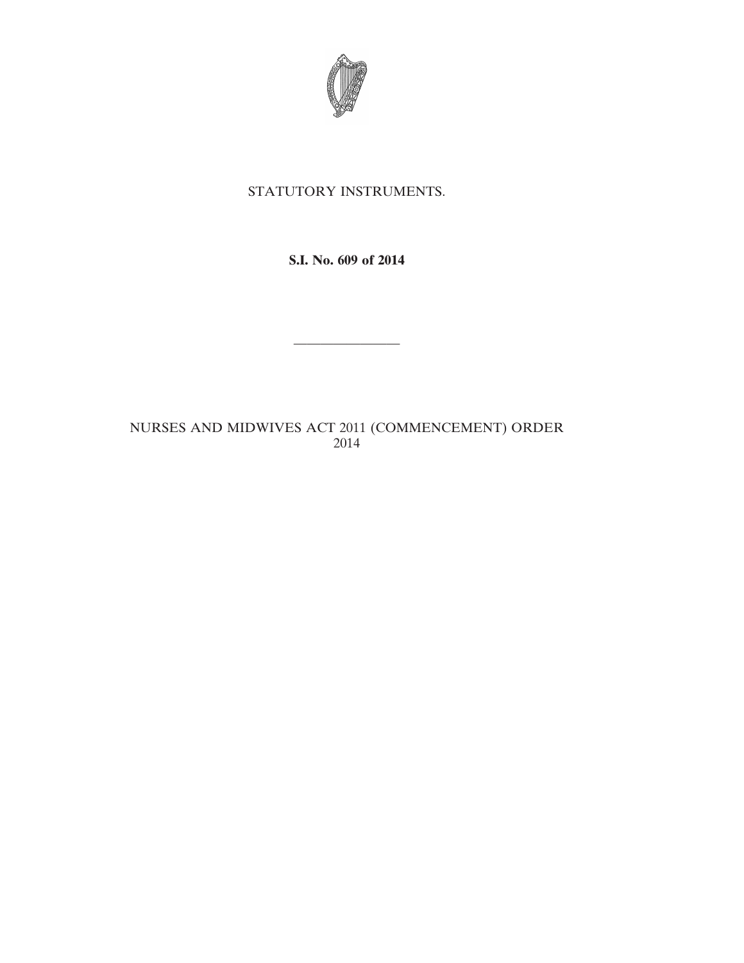

## STATUTORY INSTRUMENTS.

**S.I. No. 609 of 2014**

————————

## NURSES AND MIDWIVES ACT 2011 (COMMENCEMENT) ORDER 2014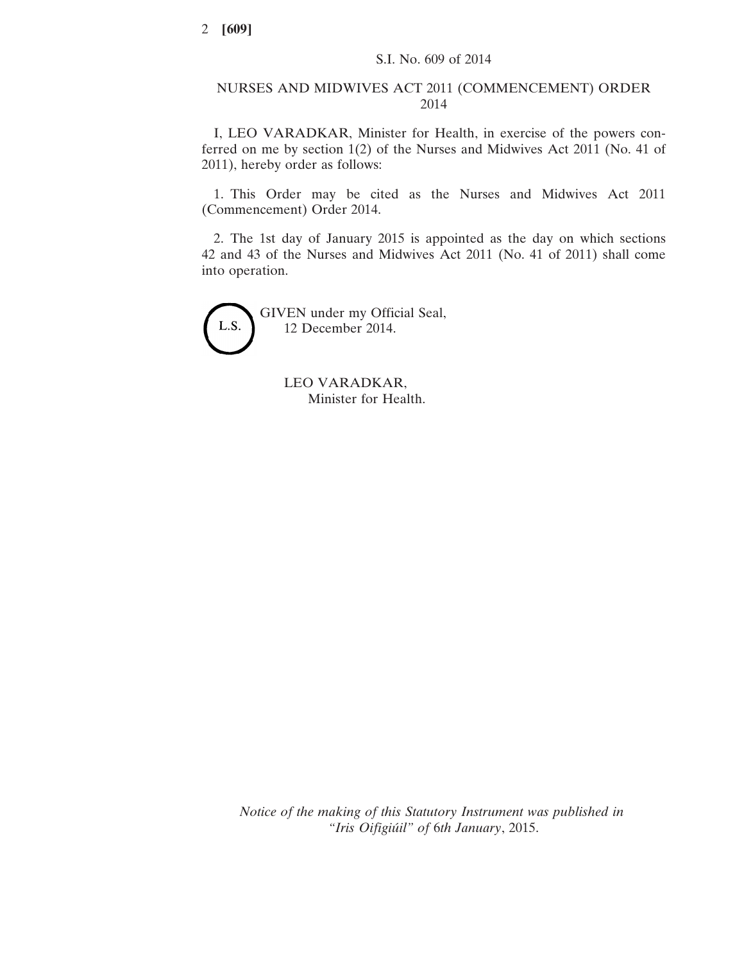## NURSES AND MIDWIVES ACT 2011 (COMMENCEMENT) ORDER 2014

I, LEO VARADKAR, Minister for Health, in exercise of the powers conferred on me by section 1(2) of the Nurses and Midwives Act 2011 (No. 41 of 2011), hereby order as follows:

1. This Order may be cited as the Nurses and Midwives Act 2011 (Commencement) Order 2014.

2. The 1st day of January 2015 is appointed as the day on which sections 42 and 43 of the Nurses and Midwives Act 2011 (No. 41 of 2011) shall come into operation.

L.S.

GIVEN under my Official Seal, 12 December 2014.

> LEO VARADKAR, Minister for Health.

*Notice of the making of this Statutory Instrument was published in "Iris Oifigiúil" of* 6*th January*, 2015.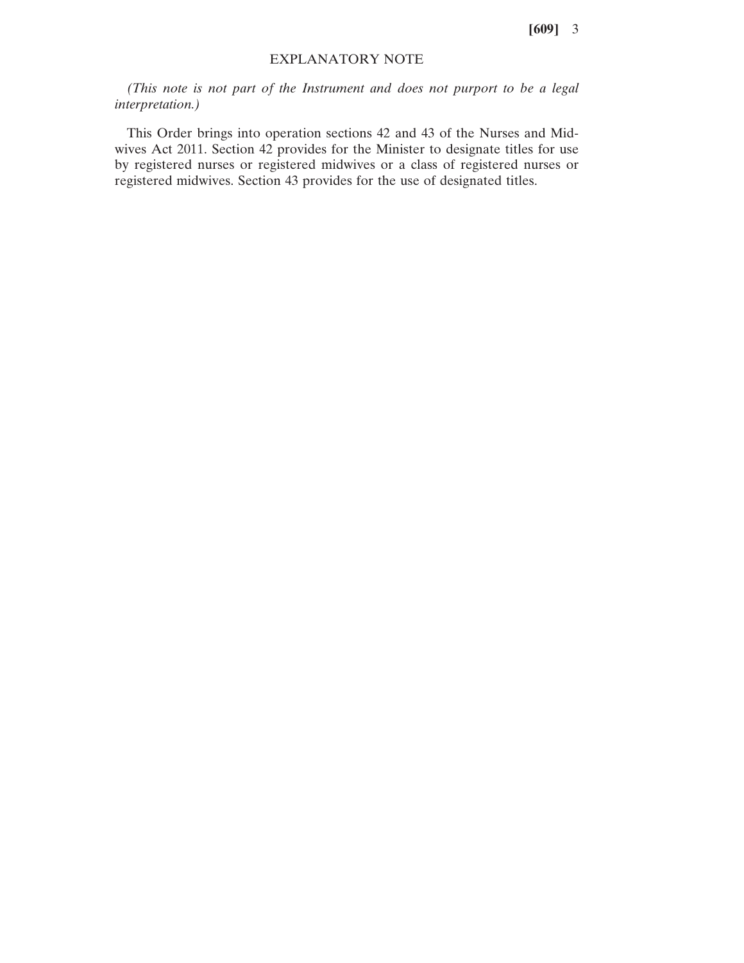**[609]** 3

## EXPLANATORY NOTE

*(This note is not part of the Instrument and does not purport to be a legal interpretation.)*

This Order brings into operation sections 42 and 43 of the Nurses and Midwives Act 2011. Section 42 provides for the Minister to designate titles for use by registered nurses or registered midwives or a class of registered nurses or registered midwives. Section 43 provides for the use of designated titles.